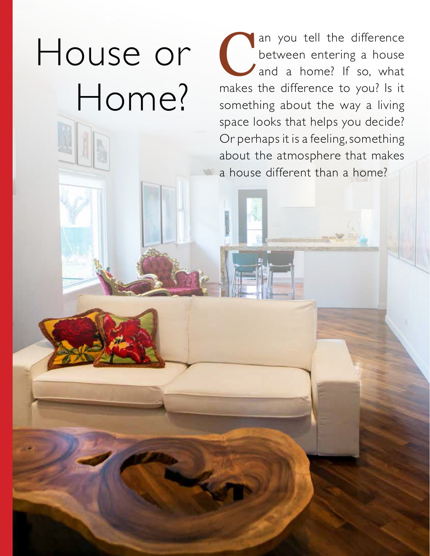House or Home?

12 | Design Your Home | Fall

an you tell the difference<br>between entering a house<br>and a home? If so, what<br>makes the difference to you? Is it between entering a house and a home? If so, what makes the difference to you? Is it something about the way a living space looks that helps you decide? Or perhaps it is a feeling, something about the atmosphere that makes a house different than a home?